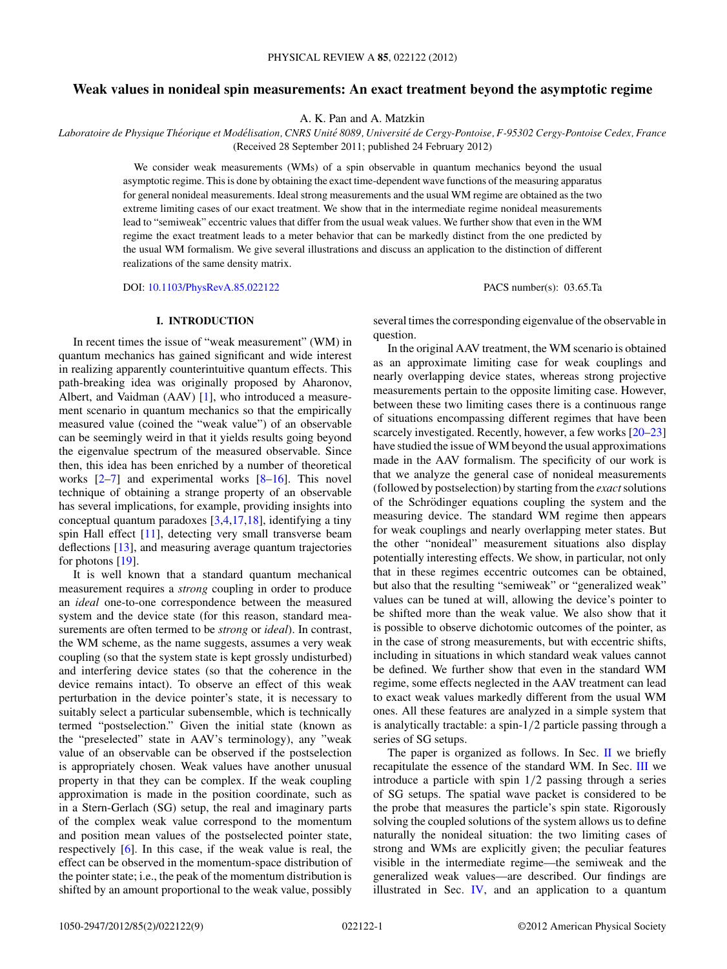# **Weak values in nonideal spin measurements: An exact treatment beyond the asymptotic regime**

A. K. Pan and A. Matzkin

*Laboratoire de Physique Theorique et Mod ´ elisation, CNRS Unit ´ e 8089, Universit ´ e de Cergy-Pontoise, F-95302 Cergy-Pontoise Cedex, France ´* (Received 28 September 2011; published 24 February 2012)

> We consider weak measurements (WMs) of a spin observable in quantum mechanics beyond the usual asymptotic regime. This is done by obtaining the exact time-dependent wave functions of the measuring apparatus for general nonideal measurements. Ideal strong measurements and the usual WM regime are obtained as the two extreme limiting cases of our exact treatment. We show that in the intermediate regime nonideal measurements lead to "semiweak" eccentric values that differ from the usual weak values. We further show that even in the WM regime the exact treatment leads to a meter behavior that can be markedly distinct from the one predicted by the usual WM formalism. We give several illustrations and discuss an application to the distinction of different realizations of the same density matrix.

> DOI: [10.1103/PhysRevA.85.022122](http://dx.doi.org/10.1103/PhysRevA.85.022122) PACS number(s): 03*.*65*.*Ta

## **I. INTRODUCTION**

In recent times the issue of "weak measurement" (WM) in quantum mechanics has gained significant and wide interest in realizing apparently counterintuitive quantum effects. This path-breaking idea was originally proposed by Aharonov, Albert, and Vaidman (AAV) [\[1\]](#page-8-0), who introduced a measurement scenario in quantum mechanics so that the empirically measured value (coined the "weak value") of an observable can be seemingly weird in that it yields results going beyond the eigenvalue spectrum of the measured observable. Since then, this idea has been enriched by a number of theoretical works  $[2-7]$  and experimental works  $[8-16]$ . This novel technique of obtaining a strange property of an observable has several implications, for example, providing insights into conceptual quantum paradoxes [\[3,4,17,18\]](#page-8-0), identifying a tiny spin Hall effect [\[11\]](#page-8-0), detecting very small transverse beam deflections [\[13\]](#page-8-0), and measuring average quantum trajectories for photons [\[19\]](#page-8-0).

It is well known that a standard quantum mechanical measurement requires a *strong* coupling in order to produce an *ideal* one-to-one correspondence between the measured system and the device state (for this reason, standard measurements are often termed to be *strong* or *ideal*). In contrast, the WM scheme, as the name suggests, assumes a very weak coupling (so that the system state is kept grossly undisturbed) and interfering device states (so that the coherence in the device remains intact). To observe an effect of this weak perturbation in the device pointer's state, it is necessary to suitably select a particular subensemble, which is technically termed "postselection." Given the initial state (known as the "preselected" state in AAV's terminology), any "weak value of an observable can be observed if the postselection is appropriately chosen. Weak values have another unusual property in that they can be complex. If the weak coupling approximation is made in the position coordinate, such as in a Stern-Gerlach (SG) setup, the real and imaginary parts of the complex weak value correspond to the momentum and position mean values of the postselected pointer state, respectively [\[6\]](#page-8-0). In this case, if the weak value is real, the effect can be observed in the momentum-space distribution of the pointer state; i.e., the peak of the momentum distribution is shifted by an amount proportional to the weak value, possibly several times the corresponding eigenvalue of the observable in question.

In the original AAV treatment, the WM scenario is obtained as an approximate limiting case for weak couplings and nearly overlapping device states, whereas strong projective measurements pertain to the opposite limiting case. However, between these two limiting cases there is a continuous range of situations encompassing different regimes that have been scarcely investigated. Recently, however, a few works [\[20–23\]](#page-8-0) have studied the issue of WM beyond the usual approximations made in the AAV formalism. The specificity of our work is that we analyze the general case of nonideal measurements (followed by postselection) by starting from the *exact*solutions of the Schrödinger equations coupling the system and the measuring device. The standard WM regime then appears for weak couplings and nearly overlapping meter states. But the other "nonideal" measurement situations also display potentially interesting effects. We show, in particular, not only that in these regimes eccentric outcomes can be obtained, but also that the resulting "semiweak" or "generalized weak" values can be tuned at will, allowing the device's pointer to be shifted more than the weak value. We also show that it is possible to observe dichotomic outcomes of the pointer, as in the case of strong measurements, but with eccentric shifts, including in situations in which standard weak values cannot be defined. We further show that even in the standard WM regime, some effects neglected in the AAV treatment can lead to exact weak values markedly different from the usual WM ones. All these features are analyzed in a simple system that is analytically tractable: a spin-1*/*2 particle passing through a series of SG setups.

The paper is organized as follows. In Sec. [II](#page-1-0) we briefly recapitulate the essence of the standard WM. In Sec. [III](#page-2-0) we introduce a particle with spin 1*/*2 passing through a series of SG setups. The spatial wave packet is considered to be the probe that measures the particle's spin state. Rigorously solving the coupled solutions of the system allows us to define naturally the nonideal situation: the two limiting cases of strong and WMs are explicitly given; the peculiar features visible in the intermediate regime—the semiweak and the generalized weak values—are described. Our findings are illustrated in Sec.  $IV$ , and an application to a quantum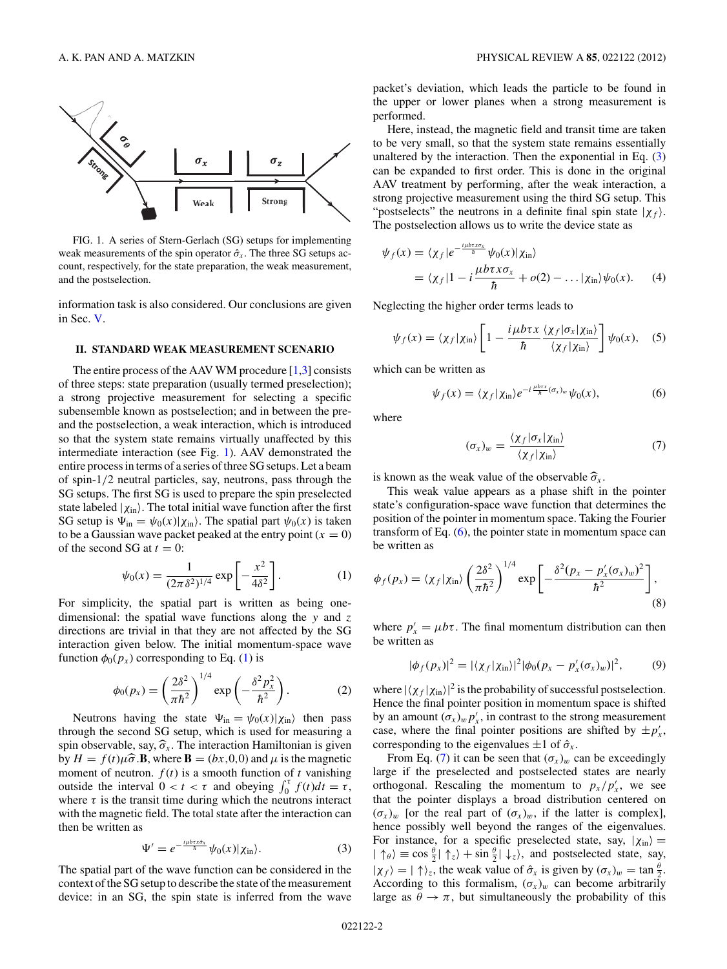<span id="page-1-0"></span>

FIG. 1. A series of Stern-Gerlach (SG) setups for implementing weak measurements of the spin operator  $\hat{\sigma}_x$ . The three SG setups account, respectively, for the state preparation, the weak measurement, and the postselection.

information task is also considered. Our conclusions are given in Sec. [V.](#page-8-0)

### **II. STANDARD WEAK MEASUREMENT SCENARIO**

The entire process of the AAV WM procedure [\[1,3\]](#page-8-0) consists of three steps: state preparation (usually termed preselection); a strong projective measurement for selecting a specific subensemble known as postselection; and in between the preand the postselection, a weak interaction, which is introduced so that the system state remains virtually unaffected by this intermediate interaction (see Fig. 1). AAV demonstrated the entire process in terms of a series of three SG setups. Let a beam of spin-1*/*2 neutral particles, say, neutrons, pass through the SG setups. The first SG is used to prepare the spin preselected state labeled  $|\chi_{\text{in}}\rangle$ . The total initial wave function after the first SG setup is  $\Psi_{\text{in}} = \psi_0(x)|\chi_{\text{in}}\rangle$ . The spatial part  $\psi_0(x)$  is taken to be a Gaussian wave packet peaked at the entry point  $(x = 0)$ of the second SG at  $t = 0$ :

$$
\psi_0(x) = \frac{1}{(2\pi\delta^2)^{1/4}} \exp\left[-\frac{x^2}{4\delta^2}\right].
$$
 (1)

For simplicity, the spatial part is written as being onedimensional: the spatial wave functions along the *y* and *z* directions are trivial in that they are not affected by the SG interaction given below. The initial momentum-space wave function  $\phi_0(p_x)$  corresponding to Eq. (1) is

$$
\phi_0(p_x) = \left(\frac{2\delta^2}{\pi\hbar^2}\right)^{1/4} \exp\left(-\frac{\delta^2 p_x^2}{\hbar^2}\right). \tag{2}
$$

Neutrons having the state  $\Psi_{\text{in}} = \psi_0(x)|\chi_{\text{in}}\rangle$  then pass through the second SG setup, which is used for measuring a spin observable, say,  $\hat{\sigma}_x$ . The interaction Hamiltonian is given by  $H = f(t)\mu\hat{\sigma}$ . B, where  $\mathbf{B} = (bx, 0, 0)$  and  $\mu$  is the magnetic moment of neutron.  $f(t)$  is a smooth function of  $t$  vanishing outside the interval  $0 < t < \tau$  and obeying  $\int_0^{\tau} f(t)dt = \tau$ , where  $\tau$  is the transit time during which the neutrons interact with the magnetic field. The total state after the interaction can then be written as

$$
\Psi' = e^{-\frac{i\mu b \tau x \hat{\sigma}_x}{\hbar}} \psi_0(x) |\chi_{\text{in}}\rangle. \tag{3}
$$

The spatial part of the wave function can be considered in the context of the SG setup to describe the state of the measurement device: in an SG, the spin state is inferred from the wave packet's deviation, which leads the particle to be found in the upper or lower planes when a strong measurement is performed.

Here, instead, the magnetic field and transit time are taken to be very small, so that the system state remains essentially unaltered by the interaction. Then the exponential in Eq. (3) can be expanded to first order. This is done in the original AAV treatment by performing, after the weak interaction, a strong projective measurement using the third SG setup. This "postselects" the neutrons in a definite final spin state  $|\chi_f\rangle$ . The postselection allows us to write the device state as

$$
\psi_f(x) = \langle \chi_f | e^{-\frac{i\mu b \tau x \sigma_x}{\hbar}} \psi_0(x) | \chi_{\text{in}} \rangle \n= \langle \chi_f | 1 - i \frac{\mu b \tau x \sigma_x}{\hbar} + o(2) - \dots | \chi_{\text{in}} \rangle \psi_0(x).
$$
\n(4)

Neglecting the higher order terms leads to

$$
\psi_f(x) = \langle \chi_f | \chi_{\text{in}} \rangle \left[ 1 - \frac{i \mu b \tau x}{\hbar} \frac{\langle \chi_f | \sigma_x | \chi_{\text{in}} \rangle}{\langle \chi_f | \chi_{\text{in}} \rangle} \right] \psi_0(x), \quad (5)
$$

which can be written as

$$
\psi_f(x) = \langle \chi_f | \chi_{\text{in}} \rangle e^{-i \frac{\mu b \tau x}{\hbar} (\sigma_x)_w} \psi_0(x), \tag{6}
$$

where

$$
(\sigma_x)_w = \frac{\langle \chi_f | \sigma_x | \chi_{\rm in} \rangle}{\langle \chi_f | \chi_{\rm in} \rangle} \tag{7}
$$

is known as the weak value of the observable  $\hat{\sigma}_x$ .

This weak value appears as a phase shift in the pointer state's configuration-space wave function that determines the position of the pointer in momentum space. Taking the Fourier transform of Eq.  $(6)$ , the pointer state in momentum space can be written as

$$
\phi_f(p_x) = \langle \chi_f | \chi_{\rm in} \rangle \left( \frac{2\delta^2}{\pi \hbar^2} \right)^{1/4} \exp \left[ -\frac{\delta^2 (p_x - p_x'(\sigma_x)_w)^2}{\hbar^2} \right], \tag{8}
$$

where  $p'_x = \mu b\tau$ . The final momentum distribution can then be written as

$$
|\phi_f(p_x)|^2 = |\langle \chi_f | \chi_{\text{in}} \rangle|^2 |\phi_0(p_x - p'_x(\sigma_x)_w)|^2, \tag{9}
$$

where  $|\langle \chi_f | \chi_{\text{in}} \rangle|^2$  is the probability of successful postselection. Hence the final pointer position in momentum space is shifted by an amount  $(\sigma_x)_w p'_x$ , in contrast to the strong measurement case, where the final pointer positions are shifted by  $\pm p'_x$ , corresponding to the eigenvalues  $\pm 1$  of  $\hat{\sigma}_x$ .

From Eq. (7) it can be seen that  $(\sigma_x)_w$  can be exceedingly large if the preselected and postselected states are nearly orthogonal. Rescaling the momentum to  $p_x/p'_x$ , we see that the pointer displays a broad distribution centered on  $(\sigma_x)_w$  [or the real part of  $(\sigma_x)_w$ , if the latter is complex], hence possibly well beyond the ranges of the eigenvalues. For instance, for a specific preselected state, say,  $|\chi_{in}\rangle$  =  $|\uparrow_{\theta}\rangle \equiv \cos \frac{\theta}{2} |\uparrow_{z}\rangle + \sin \frac{\theta}{2} |\downarrow_{z}\rangle$ , and postselected state, say,  $|\chi_f\rangle = |\uparrow\rangle_z$ , the weak value of  $\hat{\sigma}_x$  is given by  $(\sigma_x)_w = \tan \frac{\theta}{2}$ . According to this formalism,  $(\sigma_x)_w$  can become arbitrarily large as  $\theta \to \pi$ , but simultaneously the probability of this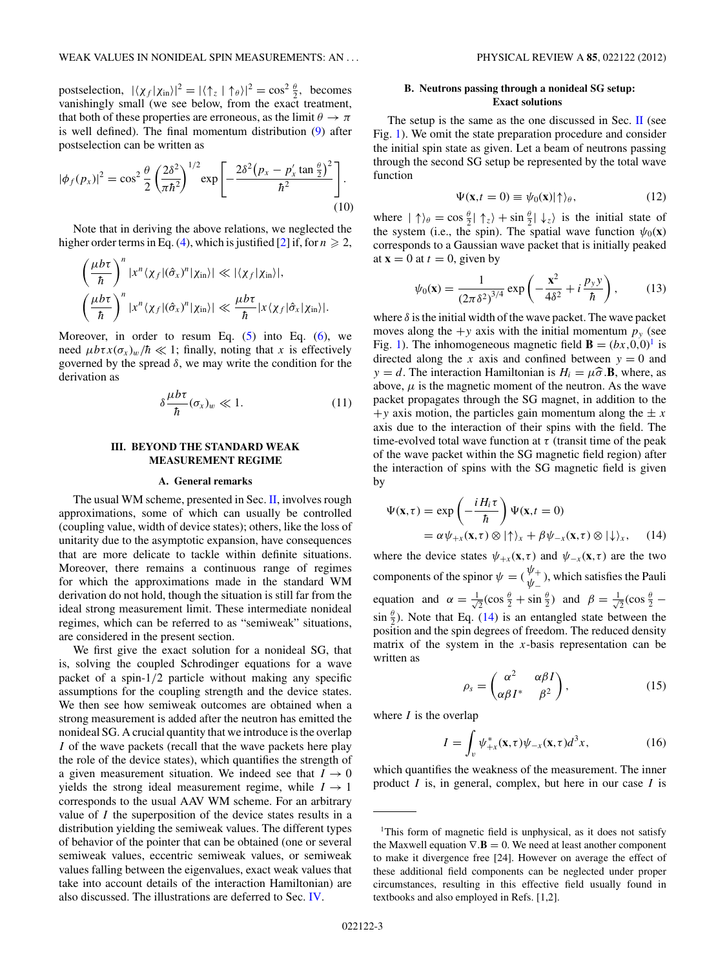<span id="page-2-0"></span>postselection,  $|\langle \chi_f | \chi_{\text{in}} \rangle|^2 = |\langle \uparrow_z | \uparrow_\theta \rangle|^2 = \cos^2 \frac{\theta}{2}$ , becomes vanishingly small (we see below, from the exact treatment, that both of these properties are erroneous, as the limit  $\theta \to \pi$ is well defined). The final momentum distribution [\(9\)](#page-1-0) after postselection can be written as

$$
|\phi_f(p_x)|^2 = \cos^2\frac{\theta}{2} \left(\frac{2\delta^2}{\pi\hbar^2}\right)^{1/2} \exp\left[-\frac{2\delta^2\left(p_x - p'_x \tan\frac{\theta}{2}\right)^2}{\hbar^2}\right].
$$
\n(10)

Note that in deriving the above relations, we neglected the higher order terms in Eq. [\(4\)](#page-1-0), which is justified [\[2\]](#page-8-0) if, for  $n \geqslant 2$ ,

$$
\left(\frac{\mu b\tau}{\hbar}\right)^n |x^n \langle \chi_f |(\hat{\sigma}_x)^n | \chi_{\text{in}} \rangle | \ll |\langle \chi_f | \chi_{\text{in}} \rangle|,
$$
  

$$
\left(\frac{\mu b\tau}{\hbar}\right)^n |x^n \langle \chi_f |(\hat{\sigma}_x)^n | \chi_{\text{in}} \rangle | \ll \frac{\mu b\tau}{\hbar} |x \langle \chi_f | \hat{\sigma}_x | \chi_{\text{in}} \rangle|.
$$

Moreover, in order to resum Eq.  $(5)$  into Eq.  $(6)$ , we need  $\mu b\tau x(\sigma_x)_{w}/\hbar \ll 1$ ; finally, noting that *x* is effectively governed by the spread *δ*, we may write the condition for the derivation as

$$
\delta \frac{\mu b \tau}{\hbar} (\sigma_x)_w \ll 1. \tag{11}
$$

# **III. BEYOND THE STANDARD WEAK MEASUREMENT REGIME**

### **A. General remarks**

The usual WM scheme, presented in Sec. [II,](#page-1-0) involves rough approximations, some of which can usually be controlled (coupling value, width of device states); others, like the loss of unitarity due to the asymptotic expansion, have consequences that are more delicate to tackle within definite situations. Moreover, there remains a continuous range of regimes for which the approximations made in the standard WM derivation do not hold, though the situation is still far from the ideal strong measurement limit. These intermediate nonideal regimes, which can be referred to as "semiweak" situations, are considered in the present section.

We first give the exact solution for a nonideal SG, that is, solving the coupled Schrodinger equations for a wave packet of a spin-1*/*2 particle without making any specific assumptions for the coupling strength and the device states. We then see how semiweak outcomes are obtained when a strong measurement is added after the neutron has emitted the nonideal SG. A crucial quantity that we introduce is the overlap *I* of the wave packets (recall that the wave packets here play the role of the device states), which quantifies the strength of a given measurement situation. We indeed see that  $I \rightarrow 0$ yields the strong ideal measurement regime, while  $I \rightarrow 1$ corresponds to the usual AAV WM scheme. For an arbitrary value of *I* the superposition of the device states results in a distribution yielding the semiweak values. The different types of behavior of the pointer that can be obtained (one or several semiweak values, eccentric semiweak values, or semiweak values falling between the eigenvalues, exact weak values that take into account details of the interaction Hamiltonian) are also discussed. The illustrations are deferred to Sec. [IV.](#page-5-0)

# **B. Neutrons passing through a nonideal SG setup: Exact solutions**

The setup is the same as the one discussed in Sec. [II](#page-1-0) (see Fig. [1\)](#page-1-0). We omit the state preparation procedure and consider the initial spin state as given. Let a beam of neutrons passing through the second SG setup be represented by the total wave function

$$
\Psi(\mathbf{x}, t=0) \equiv \psi_0(\mathbf{x}) |\!\uparrow\rangle_\theta,\tag{12}
$$

where  $|\uparrow\rangle_{\theta} = \cos\frac{\theta}{2}|\uparrow_{z}\rangle + \sin\frac{\theta}{2}|\downarrow_{z}\rangle$  is the initial state of the system (i.e., the spin). The spatial wave function  $\psi_0(\mathbf{x})$ corresponds to a Gaussian wave packet that is initially peaked at  $\mathbf{x} = 0$  at  $t = 0$ , given by

$$
\psi_0(\mathbf{x}) = \frac{1}{(2\pi\delta^2)^{3/4}} \exp\left(-\frac{\mathbf{x}^2}{4\delta^2} + i\frac{p_y y}{\hbar}\right),\tag{13}
$$

where  $\delta$  is the initial width of the wave packet. The wave packet moves along the +*y* axis with the initial momentum  $p_y$  (see Fig. [1\)](#page-1-0). The inhomogeneous magnetic field  $\mathbf{B} = (bx,0,0)^1$  is directed along the *x* axis and confined between  $y = 0$  and *y* = *d*. The interaction Hamiltonian is  $H_i = \mu \hat{\sigma}$ . **B**, where, as above,  $\mu$  is the magnetic moment of the neutron. As the wave packet propagates through the SG magnet, in addition to the  $+y$  axis motion, the particles gain momentum along the  $\pm x$ axis due to the interaction of their spins with the field. The time-evolved total wave function at  $\tau$  (transit time of the peak of the wave packet within the SG magnetic field region) after the interaction of spins with the SG magnetic field is given by

$$
\Psi(\mathbf{x}, \tau) = \exp\left(-\frac{iH_i\tau}{\hbar}\right) \Psi(\mathbf{x}, t = 0)
$$
  
=  $\alpha \psi_{+x}(\mathbf{x}, \tau) \otimes |\uparrow\rangle_x + \beta \psi_{-x}(\mathbf{x}, \tau) \otimes |\downarrow\rangle_x, \quad (14)$ 

where the device states  $\psi_{+x}(\mathbf{x}, \tau)$  and  $\psi_{-x}(\mathbf{x}, \tau)$  are the two components of the spinor  $\psi = \left(\frac{\psi_+}{\psi_+}\right)$  $\psi_{-}^{\psi_{+}}$ ), which satisfies the Pauli equation and  $\alpha = \frac{1}{4}$  $\frac{1}{2}$ (cos  $\frac{\theta}{2}$  + sin  $\frac{\theta}{2}$ ) and  $\beta = \frac{1}{\sqrt{2}}$  $\frac{1}{2}$ (cos  $\frac{\theta}{2}$  –  $\sin \frac{\theta}{2}$ ). Note that Eq. (14) is an entangled state between the position and the spin degrees of freedom. The reduced density matrix of the system in the *x*-basis representation can be written as

$$
\rho_s = \begin{pmatrix} \alpha^2 & \alpha \beta I \\ \alpha \beta I^* & \beta^2 \end{pmatrix},\tag{15}
$$

where *I* is the overlap

$$
I = \int_{v} \psi_{+x}^{*}(\mathbf{x}, \tau) \psi_{-x}(\mathbf{x}, \tau) d^{3}x, \qquad (16)
$$

which quantifies the weakness of the measurement. The inner product *I* is, in general, complex, but here in our case *I* is

<sup>&</sup>lt;sup>1</sup>This form of magnetic field is unphysical, as it does not satisfy the Maxwell equation  $\nabla \cdot \mathbf{B} = 0$ . We need at least another component to make it divergence free [24]. However on average the effect of these additional field components can be neglected under proper circumstances, resulting in this effective field usually found in textbooks and also employed in Refs. [1,2].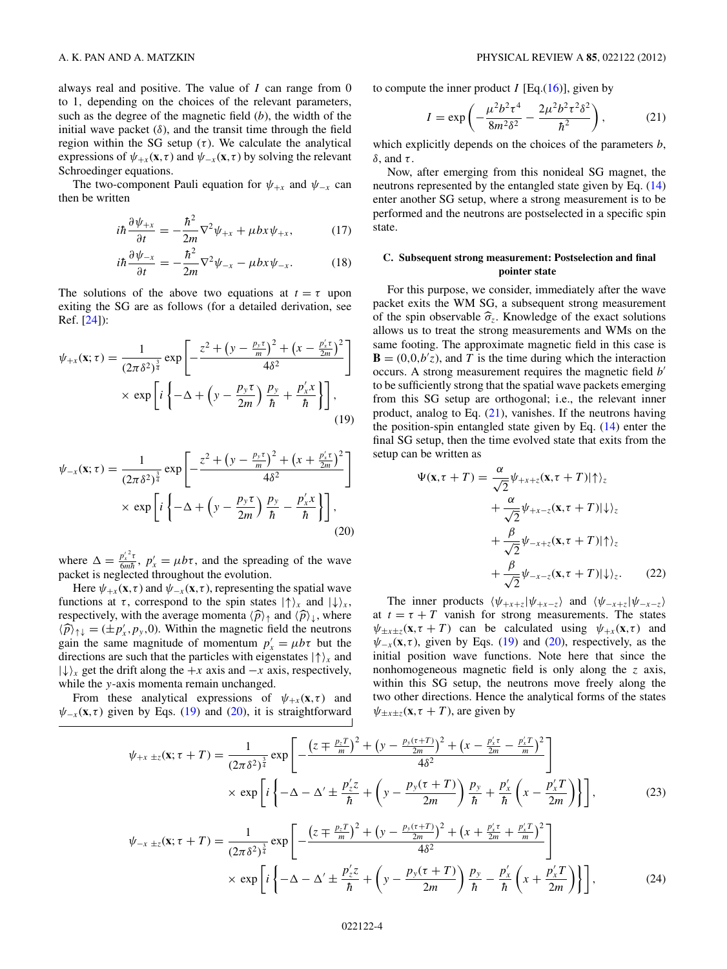<span id="page-3-0"></span>always real and positive. The value of *I* can range from 0 to 1*,* depending on the choices of the relevant parameters, such as the degree of the magnetic field (*b*), the width of the initial wave packet  $(\delta)$ , and the transit time through the field region within the SG setup  $(\tau)$ . We calculate the analytical expressions of  $\psi_{+x}(\mathbf{x}, \tau)$  and  $\psi_{-x}(\mathbf{x}, \tau)$  by solving the relevant Schroedinger equations.

The two-component Pauli equation for  $\psi_{+x}$  and  $\psi_{-x}$  can then be written

$$
i\hbar \frac{\partial \psi_{+x}}{\partial t} = -\frac{\hbar^2}{2m} \nabla^2 \psi_{+x} + \mu bx \psi_{+x},\tag{17}
$$

$$
i\hbar \frac{\partial \psi_{-x}}{\partial t} = -\frac{\hbar^2}{2m} \nabla^2 \psi_{-x} - \mu bx \psi_{-x}.
$$
 (18)

The solutions of the above two equations at  $t = \tau$  upon exiting the SG are as follows (for a detailed derivation, see Ref. [\[24\]](#page-8-0)):

$$
\psi_{+x}(\mathbf{x};\tau) = \frac{1}{(2\pi\delta^2)^{\frac{3}{4}}} \exp\left[-\frac{z^2 + \left(y - \frac{p_y \tau}{m}\right)^2 + \left(x - \frac{p_x^{\prime}\tau}{2m}\right)^2}{4\delta^2}\right] \times \exp\left[i\left\{-\Delta + \left(y - \frac{p_y \tau}{2m}\right)\frac{p_y}{\hbar} + \frac{p_x^{\prime} x}{\hbar}\right\}\right],\tag{19}
$$

$$
\psi_{-x}(\mathbf{x};\tau) = \frac{1}{(2\pi\delta^2)^{\frac{3}{4}}} \exp\left[-\frac{z^2 + \left(y - \frac{p_y \tau}{m}\right)^2 + \left(x + \frac{p_x^{\prime}\tau}{2m}\right)^2}{4\delta^2}\right] \times \exp\left[i\left\{-\Delta + \left(y - \frac{p_y \tau}{2m}\right)\frac{p_y}{\hbar} - \frac{p_x^{\prime} x}{\hbar}\right\}\right],\tag{20}
$$

where  $\Delta = \frac{p'_x{}^2 \tau}{6m\hbar}$ ,  $p'_x = \mu b\tau$ , and the spreading of the wave packet is neglected throughout the evolution.

Here  $\psi_{+x}(\mathbf{x}, \tau)$  and  $\psi_{-x}(\mathbf{x}, \tau)$ , representing the spatial wave functions at  $\tau$ , correspond to the spin states  $|\!\uparrow\rangle_x$  and  $|\!\downarrow\rangle_x$ , respectively, with the average momenta  $\langle \hat{p} \rangle_{\uparrow}$  and  $\langle \hat{p} \rangle_{\downarrow}$ , where  $\langle \hat{p} \rangle_{\uparrow\downarrow} = (\pm p'_x, p_y, 0)$ . Within the magnetic field the neutrons gain the same magnitude of momentum  $p'_x = \mu b\tau$  but the directions are such that the particles with eigenstates  $|\!\uparrow\rangle_x$  and  $|\downarrow\rangle_x$  get the drift along the  $+x$  axis and  $-x$  axis, respectively, while the *y*-axis momenta remain unchanged.

From these analytical expressions of  $\psi_{+x}(\mathbf{x}, \tau)$  and  $\psi_{-x}(\mathbf{x}, \tau)$  given by Eqs. (19) and (20), it is straightforward to compute the inner product  $I$  [Eq.[\(16\)](#page-2-0)], given by

$$
I = \exp\left(-\frac{\mu^2 b^2 \tau^4}{8m^2 \delta^2} - \frac{2\mu^2 b^2 \tau^2 \delta^2}{\hbar^2}\right),\tag{21}
$$

which explicitly depends on the choices of the parameters *b*, *δ*, and *τ* .

Now, after emerging from this nonideal SG magnet, the neutrons represented by the entangled state given by Eq. [\(14\)](#page-2-0) enter another SG setup, where a strong measurement is to be performed and the neutrons are postselected in a specific spin state.

# **C. Subsequent strong measurement: Postselection and final pointer state**

For this purpose, we consider, immediately after the wave packet exits the WM SG, a subsequent strong measurement of the spin observable  $\hat{\sigma}_z$ . Knowledge of the exact solutions allows us to treat the strong measurements and WMs on the same footing. The approximate magnetic field in this case is  $\mathbf{B} = (0,0,b'z)$ , and *T* is the time during which the interaction occurs. A strong measurement requires the magnetic field *b* to be sufficiently strong that the spatial wave packets emerging from this SG setup are orthogonal; i.e., the relevant inner product, analog to Eq.  $(21)$ , vanishes. If the neutrons having the position-spin entangled state given by Eq. [\(14\)](#page-2-0) enter the final SG setup, then the time evolved state that exits from the setup can be written as

$$
\Psi(\mathbf{x}, \tau + T) = \frac{\alpha}{\sqrt{2}} \psi_{+x+z}(\mathbf{x}, \tau + T) | \uparrow \rangle_z
$$
  
+ 
$$
\frac{\alpha}{\sqrt{2}} \psi_{+x-z}(\mathbf{x}, \tau + T) | \downarrow \rangle_z
$$
  
+ 
$$
\frac{\beta}{\sqrt{2}} \psi_{-x+z}(\mathbf{x}, \tau + T) | \uparrow \rangle_z
$$
  
+ 
$$
\frac{\beta}{\sqrt{2}} \psi_{-x-z}(\mathbf{x}, \tau + T) | \downarrow \rangle_z.
$$
 (22)

The inner products  $\langle \psi_{+x+z} | \psi_{+x-z} \rangle$  and  $\langle \psi_{-x+z} | \psi_{-x-z} \rangle$ at  $t = \tau + T$  vanish for strong measurements. The states  $\psi_{\pm x \pm z}(\mathbf{x}, \tau + T)$  can be calculated using  $\psi_{+x}(\mathbf{x}, \tau)$  and  $\psi_{-x}(\mathbf{x}, \tau)$ , given by Eqs. (19) and (20), respectively, as the initial position wave functions. Note here that since the nonhomogeneous magnetic field is only along the *z* axis, within this SG setup, the neutrons move freely along the two other directions. Hence the analytical forms of the states  $\psi_{\pm x \pm z}(\mathbf{x}, \tau + T)$ , are given by

$$
\psi_{+x \pm z}(\mathbf{x}; \tau + T) = \frac{1}{(2\pi\delta^2)^{\frac{3}{4}}} \exp\left[-\frac{\left(z \mp \frac{p_z T}{m}\right)^2 + \left(y - \frac{p_y(\tau + T)}{2m}\right)^2 + \left(x - \frac{p_x^{\prime} \tau}{2m} - \frac{p_x^{\prime} T}{m}\right)^2}{4\delta^2}\right] \times \exp\left[i\left\{-\Delta - \Delta^{\prime} \pm \frac{p_z^{\prime} z}{\hbar} + \left(y - \frac{p_y(\tau + T)}{2m}\right)\frac{p_y}{\hbar} + \frac{p_x^{\prime}}{\hbar}\left(x - \frac{p_x^{\prime} T}{2m}\right)\right\}\right],
$$
(23)  

$$
\psi_{-x \pm z}(\mathbf{x}; \tau + T) = \frac{1}{(2\pi\delta^2)^{\frac{3}{2}}} \exp\left[-\frac{\left(z \mp \frac{p_z T}{m}\right)^2 + \left(y - \frac{p_y(\tau + T)}{2m}\right)^2 + \left(x + \frac{p_x^{\prime} \tau}{2m} + \frac{p_x^{\prime} T}{m}\right)^2}{4\delta^2}\right]
$$

$$
\begin{aligned}\n &\left(x, t+1\right) = \frac{1}{\left(2\pi\delta^2\right)^{\frac{3}{4}}} \exp\left[-\frac{4\delta^2}{\left(2\pi\delta^2\right)^{\frac{3}{4}}} - \frac{4\delta^2}{\left(2\pi\delta^2\right)^{\frac{3}{4}}} \right] \\
&\times \exp\left[i\left\{-\Delta - \Delta' \pm \frac{p_z'z}{\hbar} + \left(y - \frac{p_y(\tau+T)}{2m}\right)\frac{p_y}{\hbar} - \frac{p_x'}{\hbar}\left(x + \frac{p_x'T}{2m}\right)\right]\right],\n \end{aligned}\n \tag{24}
$$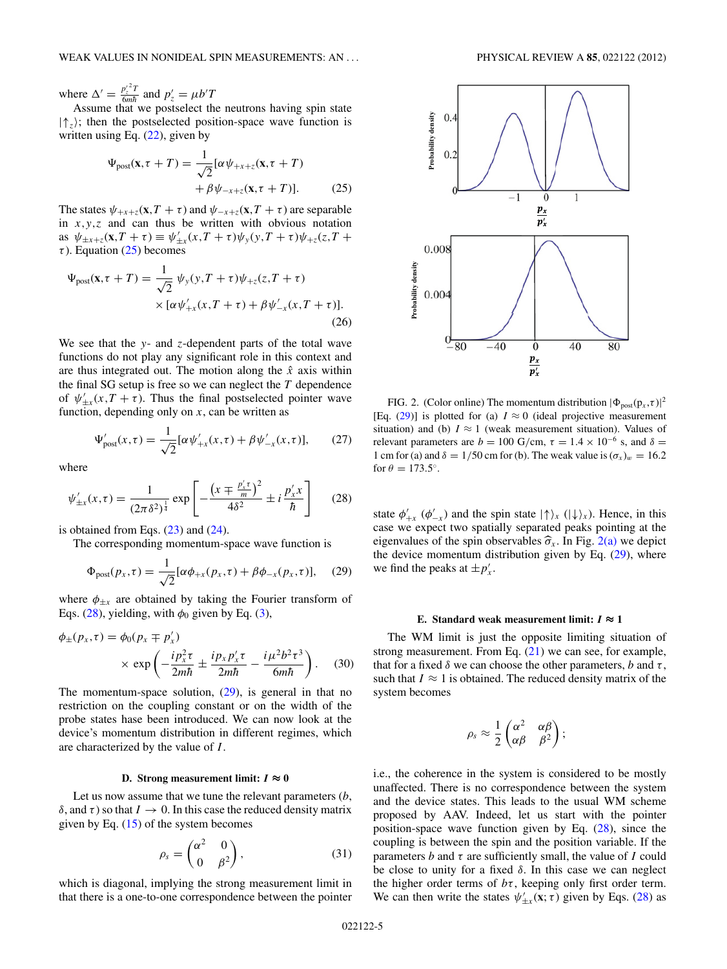<span id="page-4-0"></span>where  $\Delta' = \frac{p'_z{}^2 T}{6m\hbar}$  and  $p'_z = \mu b' T$ 

Assume that we postselect the neutrons having spin state |↑*z*-; then the postselected position-space wave function is written using Eq.  $(22)$ , given by

$$
\Psi_{\text{post}}(\mathbf{x}, \tau + T) = \frac{1}{\sqrt{2}} [\alpha \psi_{+x+z}(\mathbf{x}, \tau + T) + \beta \psi_{-x+z}(\mathbf{x}, \tau + T)].
$$
\n(25)

The states  $\psi_{+x+z}(\mathbf{x}, T + \tau)$  and  $\psi_{-x+z}(\mathbf{x}, T + \tau)$  are separable in *x,y,z* and can thus be written with obvious notation as  $\psi_{\pm x+z}(\mathbf{x}, T + \tau) \equiv \psi'_{\pm x}(x, T + \tau)\psi_y(y, T + \tau)\psi_{+z}(z, T +$ *τ* ). Equation (25) becomes

$$
\Psi_{\text{post}}(\mathbf{x}, \tau + T) = \frac{1}{\sqrt{2}} \psi_y(y, T + \tau) \psi_{+z}(z, T + \tau)
$$
  
 
$$
\times [\alpha \psi'_{+x}(x, T + \tau) + \beta \psi'_{-x}(x, T + \tau)].
$$
 (26)

We see that the *y*- and *z*-dependent parts of the total wave functions do not play any significant role in this context and are thus integrated out. The motion along the  $\hat{x}$  axis within the final SG setup is free so we can neglect the *T* dependence of  $\psi'_{\pm x}(x,T+\tau)$ . Thus the final postselected pointer wave function, depending only on *x*, can be written as

$$
\Psi'_{\text{post}}(x,\tau) = \frac{1}{\sqrt{2}} [\alpha \psi'_{+x}(x,\tau) + \beta \psi'_{-x}(x,\tau)],\tag{27}
$$

where

$$
\psi'_{\pm x}(x,\tau) = \frac{1}{(2\pi\delta^2)^{\frac{1}{4}}} \exp\left[ -\frac{\left(x \mp \frac{p'_x \tau}{m}\right)^2}{4\delta^2} \pm i \frac{p'_x x}{\hbar} \right] \tag{28}
$$

is obtained from Eqs.  $(23)$  and  $(24)$ .

The corresponding momentum-space wave function is

$$
\Phi_{\text{post}}(p_x, \tau) = \frac{1}{\sqrt{2}} [\alpha \phi_{+x}(p_x, \tau) + \beta \phi_{-x}(p_x, \tau)], \quad (29)
$$

where  $\phi_{\pm x}$  are obtained by taking the Fourier transform of Eqs. (28), yielding, with  $\phi_0$  given by Eq. [\(3\)](#page-1-0),

$$
\phi_{\pm}(p_x, \tau) = \phi_0(p_x \mp p'_x) \times \exp\left(-\frac{ip_x^2 \tau}{2m\hbar} \pm \frac{ip_x p'_x \tau}{2m\hbar} - \frac{i\mu^2 b^2 \tau^3}{6m\hbar}\right).
$$
 (30)

The momentum-space solution, (29), is general in that no restriction on the coupling constant or on the width of the probe states hase been introduced. We can now look at the device's momentum distribution in different regimes, which are characterized by the value of *I* .

### **D.** Strong measurement limit:  $I \approx 0$

Let us now assume that we tune the relevant parameters (*b*, *δ*, and *τ*) so that *I* → 0. In this case the reduced density matrix given by Eq.  $(15)$  of the system becomes

$$
\rho_s = \begin{pmatrix} \alpha^2 & 0 \\ 0 & \beta^2 \end{pmatrix}, \tag{31}
$$

which is diagonal, implying the strong measurement limit in that there is a one-to-one correspondence between the pointer



FIG. 2. (Color online) The momentum distribution  $|\Phi_{\text{post}}(p_x, \tau)|^2$ [Eq. (29)] is plotted for (a)  $I \approx 0$  (ideal projective measurement situation) and (b)  $I \approx 1$  (weak measurement situation). Values of relevant parameters are  $b = 100$  G/cm,  $\tau = 1.4 \times 10^{-6}$  s, and  $\delta =$ 1 cm for (a) and  $\delta = 1/50$  cm for (b). The weak value is  $(\sigma_x)_w = 16.2$ for  $\theta = 173.5^\circ$ .

state  $\phi'_{+x}$  ( $\phi'_{-x}$ ) and the spin state  $|\uparrow\rangle_x$  ( $|\downarrow\rangle_x$ ). Hence, in this case we expect two spatially separated peaks pointing at the eigenvalues of the spin observables  $\hat{\sigma}_x$ . In Fig. 2(a) we depict the device momentum distribution given by Eq.  $(29)$ , where we find the peaks at  $\pm p'_x$ .

#### **E.** Standard weak measurement limit:  $I \approx 1$

The WM limit is just the opposite limiting situation of strong measurement. From Eq. [\(21\)](#page-3-0) we can see, for example, that for a fixed  $\delta$  we can choose the other parameters, *b* and  $\tau$ , such that  $I \approx 1$  is obtained. The reduced density matrix of the system becomes

$$
\rho_s \approx \frac{1}{2} \begin{pmatrix} \alpha^2 & \alpha \beta \\ \alpha \beta & \beta^2 \end{pmatrix};
$$

i.e., the coherence in the system is considered to be mostly unaffected. There is no correspondence between the system and the device states. This leads to the usual WM scheme proposed by AAV. Indeed, let us start with the pointer position-space wave function given by Eq. (28), since the coupling is between the spin and the position variable. If the parameters  $b$  and  $\tau$  are sufficiently small, the value of  $I$  could be close to unity for a fixed *δ*. In this case we can neglect the higher order terms of  $b\tau$ , keeping only first order term. We can then write the states  $\psi'_{\pm x}(\mathbf{x}; \tau)$  given by Eqs. (28) as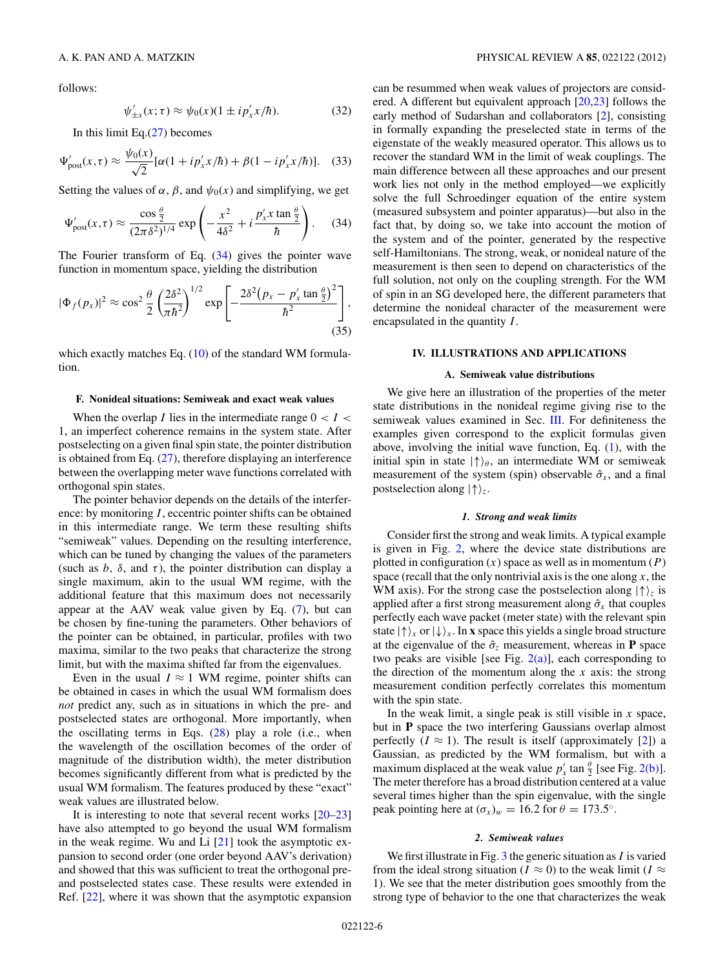<span id="page-5-0"></span>follows:

$$
\psi'_{\pm x}(x;\tau) \approx \psi_0(x)(1 \pm i p'_x x/\hbar). \tag{32}
$$

In this limit Eq. $(27)$  becomes

$$
\Psi'_{\text{post}}(x,\tau) \approx \frac{\psi_0(x)}{\sqrt{2}} [\alpha(1 + ip'_x x/\hbar) + \beta(1 - ip'_x x/\hbar)]. \quad (33)
$$

Setting the values of  $\alpha$ ,  $\beta$ , and  $\psi_0(x)$  and simplifying, we get

$$
\Psi_{\text{post}}'(x,\tau) \approx \frac{\cos\frac{\theta}{2}}{(2\pi\delta^2)^{1/4}} \exp\left(-\frac{x^2}{4\delta^2} + i\frac{p_x' x \tan\frac{\theta}{2}}{\hbar}\right). \tag{34}
$$

The Fourier transform of Eq.  $(34)$  gives the pointer wave function in momentum space, yielding the distribution

$$
|\Phi_f(p_x)|^2 \approx \cos^2\frac{\theta}{2} \left(\frac{2\delta^2}{\pi\hbar^2}\right)^{1/2} \exp\left[-\frac{2\delta^2\left(p_x - p'_x \tan\frac{\theta}{2}\right)^2}{\hbar^2}\right],\tag{35}
$$

which exactly matches Eq.  $(10)$  of the standard WM formulation.

#### **F. Nonideal situations: Semiweak and exact weak values**

When the overlap *I* lies in the intermediate range  $0 < I <$ 1, an imperfect coherence remains in the system state. After postselecting on a given final spin state, the pointer distribution is obtained from Eq.  $(27)$ , therefore displaying an interference between the overlapping meter wave functions correlated with orthogonal spin states.

The pointer behavior depends on the details of the interference: by monitoring *I* , eccentric pointer shifts can be obtained in this intermediate range. We term these resulting shifts "semiweak" values. Depending on the resulting interference, which can be tuned by changing the values of the parameters (such as  $b$ ,  $\delta$ , and  $\tau$ ), the pointer distribution can display a single maximum, akin to the usual WM regime, with the additional feature that this maximum does not necessarily appear at the AAV weak value given by Eq. [\(7\)](#page-1-0), but can be chosen by fine-tuning the parameters. Other behaviors of the pointer can be obtained, in particular, profiles with two maxima, similar to the two peaks that characterize the strong limit, but with the maxima shifted far from the eigenvalues.

Even in the usual  $I \approx 1$  WM regime, pointer shifts can be obtained in cases in which the usual WM formalism does *not* predict any, such as in situations in which the pre- and postselected states are orthogonal. More importantly, when the oscillating terms in Eqs. [\(28\)](#page-4-0) play a role (i.e., when the wavelength of the oscillation becomes of the order of magnitude of the distribution width), the meter distribution becomes significantly different from what is predicted by the usual WM formalism. The features produced by these "exact" weak values are illustrated below.

It is interesting to note that several recent works  $[20-23]$ have also attempted to go beyond the usual WM formalism in the weak regime. Wu and Li [\[21\]](#page-8-0) took the asymptotic expansion to second order (one order beyond AAV's derivation) and showed that this was sufficient to treat the orthogonal preand postselected states case. These results were extended in Ref. [\[22\]](#page-8-0), where it was shown that the asymptotic expansion

can be resummed when weak values of projectors are considered. A different but equivalent approach  $[20,23]$  follows the early method of Sudarshan and collaborators [\[2\]](#page-8-0), consisting in formally expanding the preselected state in terms of the eigenstate of the weakly measured operator. This allows us to recover the standard WM in the limit of weak couplings. The main difference between all these approaches and our present work lies not only in the method employed—we explicitly solve the full Schroedinger equation of the entire system (measured subsystem and pointer apparatus)—but also in the fact that, by doing so, we take into account the motion of the system and of the pointer, generated by the respective self-Hamiltonians. The strong, weak, or nonideal nature of the measurement is then seen to depend on characteristics of the full solution, not only on the coupling strength. For the WM of spin in an SG developed here, the different parameters that determine the nonideal character of the measurement were encapsulated in the quantity *I* .

### **IV. ILLUSTRATIONS AND APPLICATIONS**

### **A. Semiweak value distributions**

We give here an illustration of the properties of the meter state distributions in the nonideal regime giving rise to the semiweak values examined in Sec. [III.](#page-2-0) For definiteness the examples given correspond to the explicit formulas given above, involving the initial wave function, Eq. [\(1\)](#page-1-0), with the initial spin in state  $|\uparrow\rangle_\theta$ , an intermediate WM or semiweak measurement of the system (spin) observable  $\hat{\sigma}_x$ , and a final postselection along  $|\!\uparrow\rangle_z$ .

### *1. Strong and weak limits*

Consider first the strong and weak limits. A typical example is given in Fig. [2,](#page-4-0) where the device state distributions are plotted in configuration (*x*) space as well as in momentum (*P*) space (recall that the only nontrivial axis is the one along *x*, the WM axis). For the strong case the postselection along  $|\uparrow\rangle_z$  is applied after a first strong measurement along  $\hat{\sigma}_x$  that couples perfectly each wave packet (meter state) with the relevant spin state  $|\uparrow\rangle_x$  or  $|\downarrow\rangle_x$ . In **x** space this yields a single broad structure at the eigenvalue of the  $\hat{\sigma}_z$  measurement, whereas in **P** space two peaks are visible [see Fig.  $2(a)$ ], each corresponding to the direction of the momentum along the *x* axis: the strong measurement condition perfectly correlates this momentum with the spin state.

In the weak limit, a single peak is still visible in *x* space, but in **P** space the two interfering Gaussians overlap almost perfectly  $(I \approx 1)$ . The result is itself (approximately [\[2\]](#page-8-0)) a Gaussian, as predicted by the WM formalism, but with a maximum displaced at the weak value  $p'_x$  tan  $\frac{\theta}{2}$  [see Fig. [2\(b\)\]](#page-4-0). The meter therefore has a broad distribution centered at a value several times higher than the spin eigenvalue, with the single peak pointing here at  $(\sigma_x)_w = 16.2$  for  $\theta = 173.5^\circ$ .

#### *2. Semiweak values*

We first illustrate in Fig. [3](#page-6-0) the generic situation as *I* is varied from the ideal strong situation ( $I \approx 0$ ) to the weak limit ( $I \approx$ 1). We see that the meter distribution goes smoothly from the strong type of behavior to the one that characterizes the weak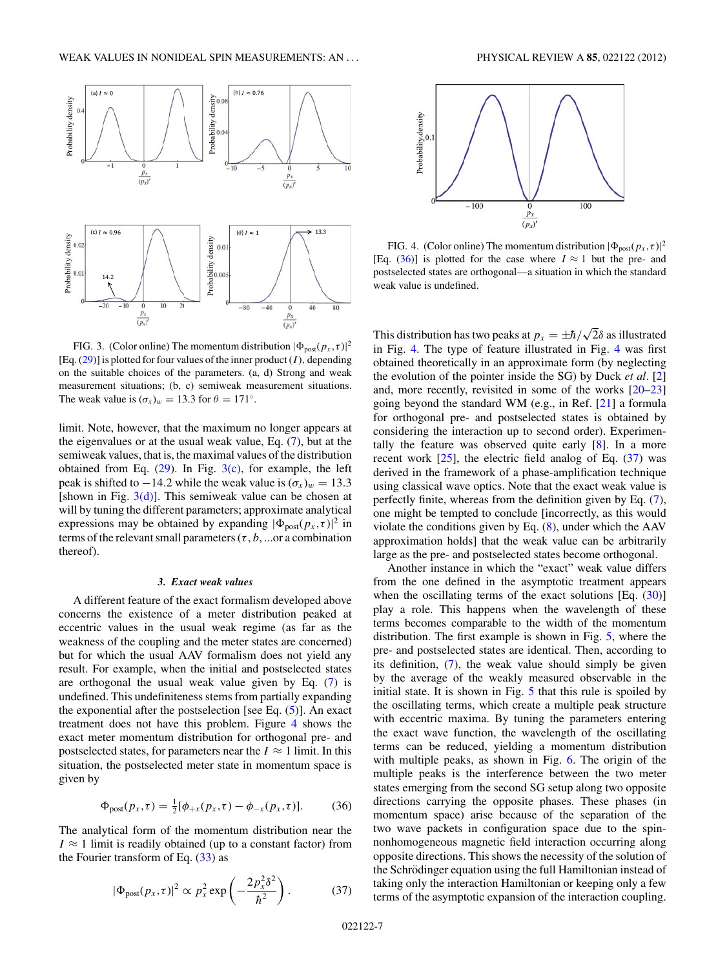<span id="page-6-0"></span>

FIG. 3. (Color online) The momentum distribution  $|\Phi_{\text{post}}(p_x, \tau)|^2$ [Eq. [\(29\)](#page-4-0)] is plotted for four values of the inner product (*I* )*,* depending on the suitable choices of the parameters. (a, d) Strong and weak measurement situations; (b, c) semiweak measurement situations. The weak value is  $(\sigma_x)_w = 13.3$  for  $\theta = 171^\circ$ .

limit. Note, however, that the maximum no longer appears at the eigenvalues or at the usual weak value, Eq. [\(7\)](#page-1-0), but at the semiweak values, that is, the maximal values of the distribution obtained from Eq.  $(29)$ . In Fig.  $3(c)$ , for example, the left peak is shifted to  $-14.2$  while the weak value is  $(\sigma_x)_w = 13.3$ [shown in Fig.  $3(d)$ ]. This semiweak value can be chosen at will by tuning the different parameters; approximate analytical expressions may be obtained by expanding  $|\Phi_{\text{post}}(p_x, \tau)|^2$  in terms of the relevant small parameters ( $\tau$ ,  $b$ , ...or a combination thereof).

### *3. Exact weak values*

A different feature of the exact formalism developed above concerns the existence of a meter distribution peaked at eccentric values in the usual weak regime (as far as the weakness of the coupling and the meter states are concerned) but for which the usual AAV formalism does not yield any result. For example, when the initial and postselected states are orthogonal the usual weak value given by Eq. [\(7\)](#page-1-0) is undefined. This undefiniteness stems from partially expanding the exponential after the postselection [see Eq.  $(5)$ ]. An exact treatment does not have this problem. Figure 4 shows the exact meter momentum distribution for orthogonal pre- and postselected states, for parameters near the  $I \approx 1$  limit. In this situation, the postselected meter state in momentum space is given by

$$
\Phi_{\text{post}}(p_x, \tau) = \frac{1}{2} [\phi_{+x}(p_x, \tau) - \phi_{-x}(p_x, \tau)]. \tag{36}
$$

The analytical form of the momentum distribution near the  $I \approx 1$  limit is readily obtained (up to a constant factor) from the Fourier transform of Eq.  $(33)$  as

$$
|\Phi_{\text{post}}(p_x,\tau)|^2 \propto p_x^2 \exp\left(-\frac{2p_x^2 \delta^2}{\hbar^2}\right). \tag{37}
$$



FIG. 4. (Color online) The momentum distribution  $|\Phi_{\text{post}}(p_x, \tau)|^2$ [Eq. (36)] is plotted for the case where  $I \approx 1$  but the pre- and postselected states are orthogonal—a situation in which the standard weak value is undefined.

This distribution has two peaks at  $p_x = \pm \hbar / \sqrt{2} \delta$  as illustrated in Fig. 4. The type of feature illustrated in Fig. 4 was first obtained theoretically in an approximate form (by neglecting the evolution of the pointer inside the SG) by Duck *et al.* [\[2\]](#page-8-0) and, more recently, revisited in some of the works [\[20–23\]](#page-8-0) going beyond the standard WM (e.g., in Ref. [\[21\]](#page-8-0) a formula for orthogonal pre- and postselected states is obtained by considering the interaction up to second order). Experimentally the feature was observed quite early [\[8\]](#page-8-0). In a more recent work  $[25]$ , the electric field analog of Eq.  $(37)$  was derived in the framework of a phase-amplification technique using classical wave optics. Note that the exact weak value is perfectly finite, whereas from the definition given by Eq. [\(7\)](#page-1-0), one might be tempted to conclude [incorrectly, as this would violate the conditions given by Eq.  $(8)$ , under which the AAV approximation holds] that the weak value can be arbitrarily large as the pre- and postselected states become orthogonal.

Another instance in which the "exact" weak value differs from the one defined in the asymptotic treatment appears when the oscillating terms of the exact solutions [Eq.  $(30)$ ] play a role. This happens when the wavelength of these terms becomes comparable to the width of the momentum distribution. The first example is shown in Fig. [5,](#page-7-0) where the pre- and postselected states are identical. Then, according to its definition,  $(7)$ , the weak value should simply be given by the average of the weakly measured observable in the initial state. It is shown in Fig. [5](#page-7-0) that this rule is spoiled by the oscillating terms, which create a multiple peak structure with eccentric maxima. By tuning the parameters entering the exact wave function, the wavelength of the oscillating terms can be reduced, yielding a momentum distribution with multiple peaks, as shown in Fig. [6.](#page-7-0) The origin of the multiple peaks is the interference between the two meter states emerging from the second SG setup along two opposite directions carrying the opposite phases. These phases (in momentum space) arise because of the separation of the two wave packets in configuration space due to the spinnonhomogeneous magnetic field interaction occurring along opposite directions. This shows the necessity of the solution of the Schrödinger equation using the full Hamiltonian instead of taking only the interaction Hamiltonian or keeping only a few terms of the asymptotic expansion of the interaction coupling.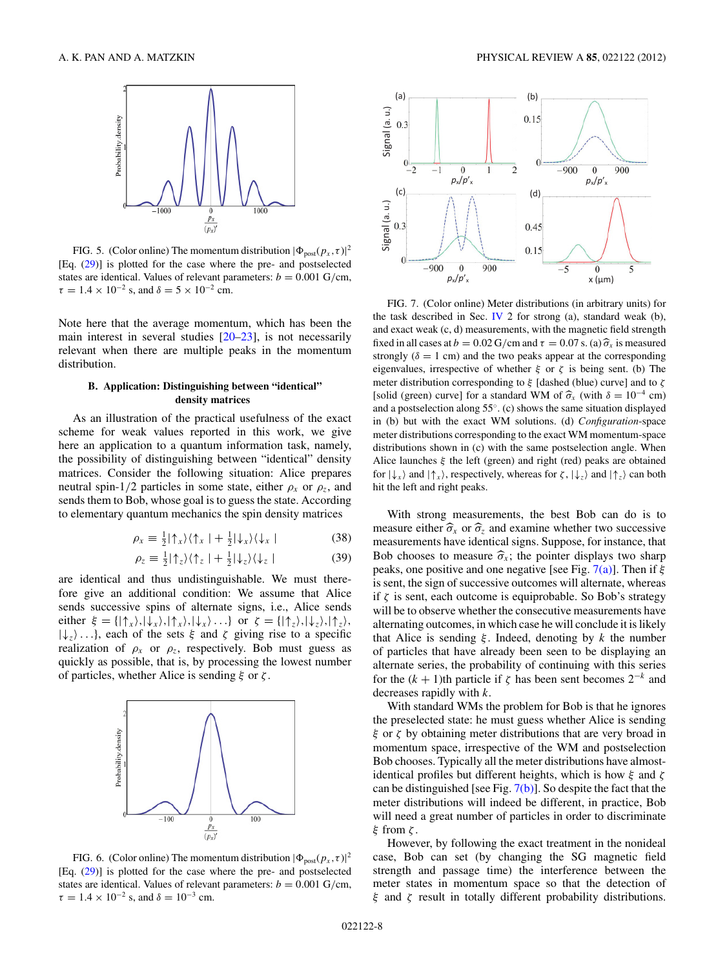<span id="page-7-0"></span>

FIG. 5. (Color online) The momentum distribution  $|\Phi_{\text{post}}(p_x, \tau)|^2$ [Eq. [\(29\)](#page-4-0)] is plotted for the case where the pre- and postselected states are identical. Values of relevant parameters:  $b = 0.001$  G/cm,  $\tau = 1.4 \times 10^{-2}$  s, and  $\delta = 5 \times 10^{-2}$  cm.

Note here that the average momentum, which has been the main interest in several studies [\[20–23\]](#page-8-0), is not necessarily relevant when there are multiple peaks in the momentum distribution.

## **B. Application: Distinguishing between "identical" density matrices**

As an illustration of the practical usefulness of the exact scheme for weak values reported in this work, we give here an application to a quantum information task, namely, the possibility of distinguishing between "identical" density matrices. Consider the following situation: Alice prepares neutral spin-1/2 particles in some state, either  $\rho_x$  or  $\rho_z$ , and sends them to Bob, whose goal is to guess the state. According to elementary quantum mechanics the spin density matrices

$$
\rho_x \equiv \frac{1}{2} |\!\uparrow_x\rangle \langle \uparrow_x | + \frac{1}{2} |\!\downarrow_x\rangle \langle \downarrow_x | \tag{38}
$$

$$
\rho_z \equiv \frac{1}{2} |\uparrow_z\rangle \langle \uparrow_z | + \frac{1}{2} |\downarrow_z\rangle \langle \downarrow_z | \tag{39}
$$

are identical and thus undistinguishable. We must therefore give an additional condition: We assume that Alice sends successive spins of alternate signs, i.e., Alice sends either  $\xi = \{|\uparrow_x\rangle, |\downarrow_x\rangle, |\uparrow_x\rangle, |\downarrow_x\rangle, ...\}$  or  $\zeta = \{|\uparrow_z\rangle, |\downarrow_z\rangle, |\uparrow_z\rangle,$ |↓*z*-*...*}, each of the sets *ξ* and *ζ* giving rise to a specific realization of  $\rho_x$  or  $\rho_z$ , respectively. Bob must guess as quickly as possible, that is, by processing the lowest number of particles, whether Alice is sending *ξ* or *ζ* .



FIG. 6. (Color online) The momentum distribution  $|\Phi_{\text{post}}(p_x, \tau)|^2$ [Eq. [\(29\)](#page-4-0)] is plotted for the case where the pre- and postselected states are identical. Values of relevant parameters:  $b = 0.001$  G/cm,  $\tau = 1.4 \times 10^{-2}$  s, and  $\delta = 10^{-3}$  cm.



FIG. 7. (Color online) Meter distributions (in arbitrary units) for the task described in Sec. [IV](#page-5-0) 2 for strong (a), standard weak (b), and exact weak (c, d) measurements, with the magnetic field strength fixed in all cases at  $b = 0.02$  G/cm and  $\tau = 0.07$  s. (a)  $\hat{\sigma}_r$  is measured strongly  $(\delta = 1 \text{ cm})$  and the two peaks appear at the corresponding eigenvalues, irrespective of whether  $\xi$  or  $\zeta$  is being sent. (b) The meter distribution corresponding to *ξ* [dashed (blue) curve] and to *ζ* [solid (green) curve] for a standard WM of  $\hat{\sigma}_x$  (with  $\delta = 10^{-4}$  cm) and a postselection along 55◦. (c) shows the same situation displayed in (b) but with the exact WM solutions. (d) *Configuration*-space meter distributions corresponding to the exact WM momentum-space distributions shown in (c) with the same postselection angle. When Alice launches *ξ* the left (green) and right (red) peaks are obtained for  $|\psi_x\rangle$  and  $|\uparrow_x\rangle$ , respectively, whereas for  $\zeta$ ,  $|\psi_z\rangle$  and  $|\uparrow_z\rangle$  can both hit the left and right peaks.

With strong measurements, the best Bob can do is to measure either  $\hat{\sigma}_x$  or  $\hat{\sigma}_z$  and examine whether two successive measurements have identical signs. Suppose, for instance, that Bob chooses to measure  $\hat{\sigma}_x$ ; the pointer displays two sharp peaks, one positive and one negative [see Fig. 7(a)]. Then if *ξ* is sent, the sign of successive outcomes will alternate, whereas if *ζ* is sent, each outcome is equiprobable. So Bob's strategy will be to observe whether the consecutive measurements have alternating outcomes, in which case he will conclude it is likely that Alice is sending *ξ* . Indeed, denoting by *k* the number of particles that have already been seen to be displaying an alternate series, the probability of continuing with this series for the  $(k + 1)$ th particle if  $\zeta$  has been sent becomes  $2^{-k}$  and decreases rapidly with *k*.

With standard WMs the problem for Bob is that he ignores the preselected state: he must guess whether Alice is sending *ξ* or *ζ* by obtaining meter distributions that are very broad in momentum space, irrespective of the WM and postselection Bob chooses. Typically all the meter distributions have almostidentical profiles but different heights, which is how *ξ* and *ζ* can be distinguished [see Fig.  $7(b)$ ]. So despite the fact that the meter distributions will indeed be different, in practice, Bob will need a great number of particles in order to discriminate *ξ* from *ζ* .

However, by following the exact treatment in the nonideal case, Bob can set (by changing the SG magnetic field strength and passage time) the interference between the meter states in momentum space so that the detection of *ξ* and *ζ* result in totally different probability distributions.